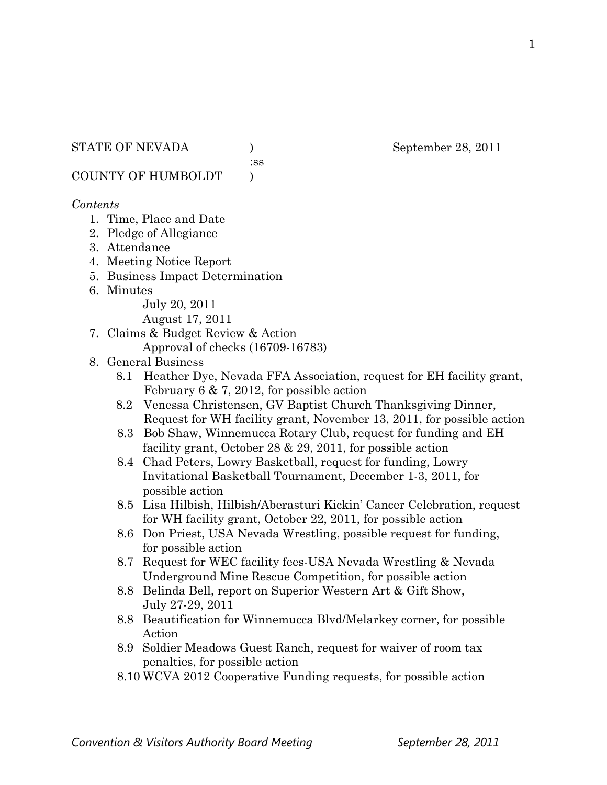:ss

COUNTY OF HUMBOLDT )

#### *Contents*

- 1. Time, Place and Date
- 2. Pledge of Allegiance
- 3. Attendance
- 4. Meeting Notice Report
- 5. Business Impact Determination
- 6. Minutes

July 20, 2011

August 17, 2011

- 7. Claims & Budget Review & Action
	- Approval of checks (16709-16783)
- 8. General Business
	- 8.1 Heather Dye, Nevada FFA Association, request for EH facility grant, February 6 & 7, 2012, for possible action
	- 8.2 Venessa Christensen, GV Baptist Church Thanksgiving Dinner, Request for WH facility grant, November 13, 2011, for possible action
	- 8.3 Bob Shaw, Winnemucca Rotary Club, request for funding and EH facility grant, October 28 & 29, 2011, for possible action
	- 8.4 Chad Peters, Lowry Basketball, request for funding, Lowry Invitational Basketball Tournament, December 1-3, 2011, for possible action
	- 8.5 Lisa Hilbish, Hilbish/Aberasturi Kickin' Cancer Celebration, request for WH facility grant, October 22, 2011, for possible action
	- 8.6 Don Priest, USA Nevada Wrestling, possible request for funding, for possible action
	- 8.7 Request for WEC facility fees-USA Nevada Wrestling & Nevada Underground Mine Rescue Competition, for possible action
	- 8.8 Belinda Bell, report on Superior Western Art & Gift Show, July 27-29, 2011
	- 8.8 Beautification for Winnemucca Blvd/Melarkey corner, for possible Action
	- 8.9 Soldier Meadows Guest Ranch, request for waiver of room tax penalties, for possible action
	- 8.10 WCVA 2012 Cooperative Funding requests, for possible action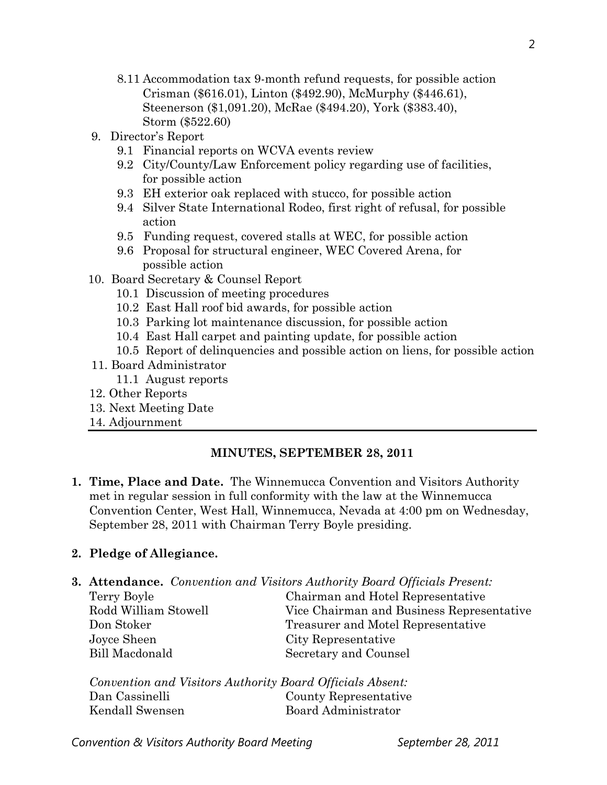- 8.11 Accommodation tax 9-month refund requests, for possible action Crisman (\$616.01), Linton (\$492.90), McMurphy (\$446.61), Steenerson (\$1,091.20), McRae (\$494.20), York (\$383.40), Storm (\$522.60)
- 9. Director's Report
	- 9.1 Financial reports on WCVA events review
	- 9.2 City/County/Law Enforcement policy regarding use of facilities, for possible action
	- 9.3 EH exterior oak replaced with stucco, for possible action
	- 9.4 Silver State International Rodeo, first right of refusal, for possible action
	- 9.5 Funding request, covered stalls at WEC, for possible action
	- 9.6 Proposal for structural engineer, WEC Covered Arena, for possible action
- 10. Board Secretary & Counsel Report
	- 10.1 Discussion of meeting procedures
	- 10.2 East Hall roof bid awards, for possible action
	- 10.3 Parking lot maintenance discussion, for possible action
	- 10.4 East Hall carpet and painting update, for possible action
	- 10.5 Report of delinquencies and possible action on liens, for possible action
- 11. Board Administrator
	- 11.1 August reports
- 12. Other Reports
- 13. Next Meeting Date
- 14. Adjournment

#### **MINUTES, SEPTEMBER 28, 2011**

**1. Time, Place and Date.** The Winnemucca Convention and Visitors Authority met in regular session in full conformity with the law at the Winnemucca Convention Center, West Hall, Winnemucca, Nevada at 4:00 pm on Wednesday, September 28, 2011 with Chairman Terry Boyle presiding.

#### **2. Pledge of Allegiance.**

**3. Attendance.** *Convention and Visitors Authority Board Officials Present:* 

Joyce Sheen City Representative Bill Macdonald Secretary and Counsel

# Terry Boyle Chairman and Hotel Representative Rodd William Stowell Vice Chairman and Business Representative Don Stoker Treasurer and Motel Representative

*Convention and Visitors Authority Board Officials Absent:*  Dan Cassinelli County Representative Kendall Swensen Board Administrator

**Convention & Visitors Authority Board Meeting The September 28, 2011**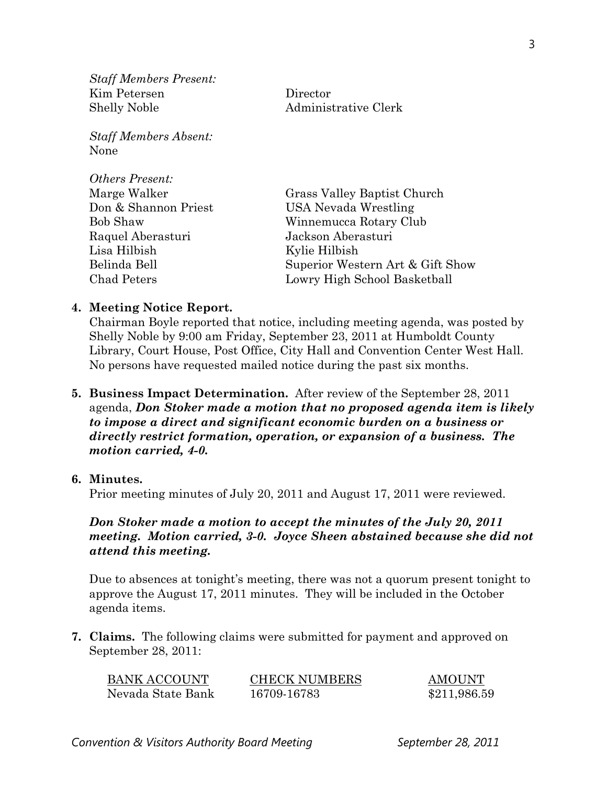*Staff Members Present:*  Kim Petersen Director Shelly Noble Administrative Clerk

*Staff Members Absent:*  None

| <b>Others Present:</b> |                                  |
|------------------------|----------------------------------|
| Marge Walker           | Grass Valley Baptist Church      |
| Don & Shannon Priest   | USA Nevada Wrestling             |
| <b>Bob Shaw</b>        | Winnemucca Rotary Club           |
| Raquel Aberasturi      | Jackson Aberasturi               |
| Lisa Hilbish           | Kylie Hilbish                    |
| Belinda Bell           | Superior Western Art & Gift Show |
| Chad Peters            | Lowry High School Basketball     |

#### **4. Meeting Notice Report.**

Chairman Boyle reported that notice, including meeting agenda, was posted by Shelly Noble by 9:00 am Friday, September 23, 2011 at Humboldt County Library, Court House, Post Office, City Hall and Convention Center West Hall. No persons have requested mailed notice during the past six months.

**5. Business Impact Determination.** After review of the September 28, 2011 agenda, *Don Stoker made a motion that no proposed agenda item is likely to impose a direct and significant economic burden on a business or directly restrict formation, operation, or expansion of a business. The motion carried, 4-0.*

### **6. Minutes.**

Prior meeting minutes of July 20, 2011 and August 17, 2011 were reviewed.

## *Don Stoker made a motion to accept the minutes of the July 20, 2011 meeting. Motion carried, 3-0. Joyce Sheen abstained because she did not attend this meeting.*

Due to absences at tonight's meeting, there was not a quorum present tonight to approve the August 17, 2011 minutes. They will be included in the October agenda items.

**7. Claims.** The following claims were submitted for payment and approved on September 28, 2011:

| <b>BANK ACCOUNT</b> | <b>CHECK NUMBERS</b> | <b>AMOUNT</b> |
|---------------------|----------------------|---------------|
| Nevada State Bank   | 16709-16783          | \$211,986.59  |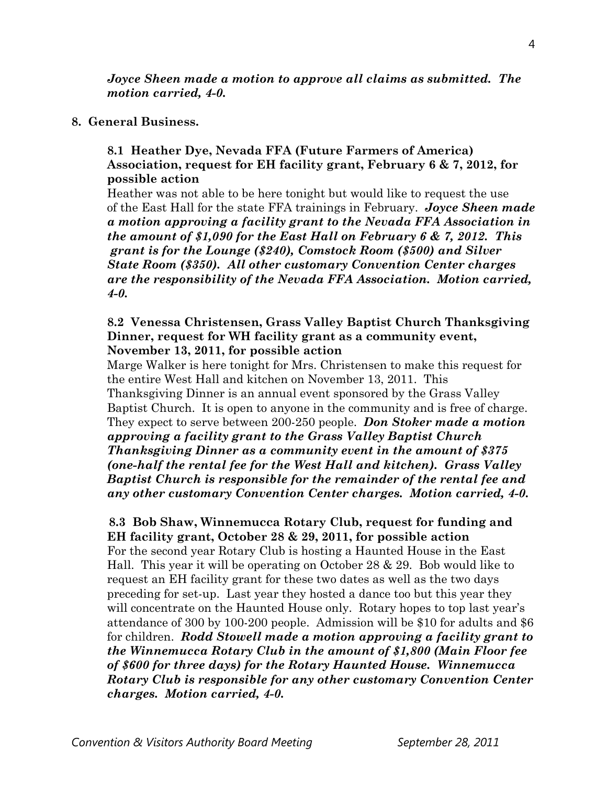*Joyce Sheen made a motion to approve all claims as submitted. The motion carried, 4-0.* 

#### **8. General Business.**

## **8.1 Heather Dye, Nevada FFA (Future Farmers of America) Association, request for EH facility grant, February 6 & 7, 2012, for possible action**

Heather was not able to be here tonight but would like to request the use of the East Hall for the state FFA trainings in February. *Joyce Sheen made a motion approving a facility grant to the Nevada FFA Association in the amount of \$1,090 for the East Hall on February 6 & 7, 2012. This grant is for the Lounge (\$240), Comstock Room (\$500) and Silver State Room (\$350). All other customary Convention Center charges are the responsibility of the Nevada FFA Association. Motion carried, 4-0.* 

#### **8.2 Venessa Christensen, Grass Valley Baptist Church Thanksgiving Dinner, request for WH facility grant as a community event, November 13, 2011, for possible action**

Marge Walker is here tonight for Mrs. Christensen to make this request for the entire West Hall and kitchen on November 13, 2011. This Thanksgiving Dinner is an annual event sponsored by the Grass Valley Baptist Church. It is open to anyone in the community and is free of charge. They expect to serve between 200-250 people. *Don Stoker made a motion approving a facility grant to the Grass Valley Baptist Church Thanksgiving Dinner as a community event in the amount of \$375 (one-half the rental fee for the West Hall and kitchen). Grass Valley Baptist Church is responsible for the remainder of the rental fee and any other customary Convention Center charges. Motion carried, 4-0.* 

# **8.3 Bob Shaw, Winnemucca Rotary Club, request for funding and EH facility grant, October 28 & 29, 2011, for possible action**

For the second year Rotary Club is hosting a Haunted House in the East Hall. This year it will be operating on October 28 & 29. Bob would like to request an EH facility grant for these two dates as well as the two days preceding for set-up. Last year they hosted a dance too but this year they will concentrate on the Haunted House only. Rotary hopes to top last year's attendance of 300 by 100-200 people. Admission will be \$10 for adults and \$6 for children. *Rodd Stowell made a motion approving a facility grant to the Winnemucca Rotary Club in the amount of \$1,800 (Main Floor fee of \$600 for three days) for the Rotary Haunted House. Winnemucca Rotary Club is responsible for any other customary Convention Center charges. Motion carried, 4-0.*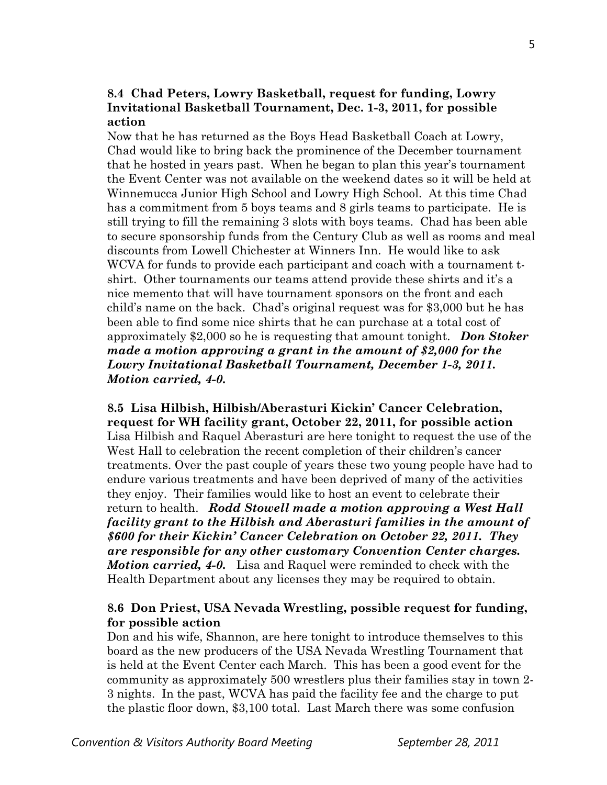# **8.4 Chad Peters, Lowry Basketball, request for funding, Lowry Invitational Basketball Tournament, Dec. 1-3, 2011, for possible action**

Now that he has returned as the Boys Head Basketball Coach at Lowry, Chad would like to bring back the prominence of the December tournament that he hosted in years past. When he began to plan this year's tournament the Event Center was not available on the weekend dates so it will be held at Winnemucca Junior High School and Lowry High School. At this time Chad has a commitment from 5 boys teams and 8 girls teams to participate. He is still trying to fill the remaining 3 slots with boys teams. Chad has been able to secure sponsorship funds from the Century Club as well as rooms and meal discounts from Lowell Chichester at Winners Inn. He would like to ask WCVA for funds to provide each participant and coach with a tournament tshirt. Other tournaments our teams attend provide these shirts and it's a nice memento that will have tournament sponsors on the front and each child's name on the back. Chad's original request was for \$3,000 but he has been able to find some nice shirts that he can purchase at a total cost of approximately \$2,000 so he is requesting that amount tonight. *Don Stoker made a motion approving a grant in the amount of \$2,000 for the Lowry Invitational Basketball Tournament, December 1-3, 2011. Motion carried, 4-0.* 

**8.5 Lisa Hilbish, Hilbish/Aberasturi Kickin' Cancer Celebration, request for WH facility grant, October 22, 2011, for possible action**  Lisa Hilbish and Raquel Aberasturi are here tonight to request the use of the West Hall to celebration the recent completion of their children's cancer treatments. Over the past couple of years these two young people have had to endure various treatments and have been deprived of many of the activities they enjoy. Their families would like to host an event to celebrate their return to health. *Rodd Stowell made a motion approving a West Hall facility grant to the Hilbish and Aberasturi families in the amount of \$600 for their Kickin' Cancer Celebration on October 22, 2011. They are responsible for any other customary Convention Center charges. Motion carried, 4-0.* Lisa and Raquel were reminded to check with the Health Department about any licenses they may be required to obtain.

## **8.6 Don Priest, USA Nevada Wrestling, possible request for funding, for possible action**

Don and his wife, Shannon, are here tonight to introduce themselves to this board as the new producers of the USA Nevada Wrestling Tournament that is held at the Event Center each March. This has been a good event for the community as approximately 500 wrestlers plus their families stay in town 2- 3 nights. In the past, WCVA has paid the facility fee and the charge to put the plastic floor down, \$3,100 total. Last March there was some confusion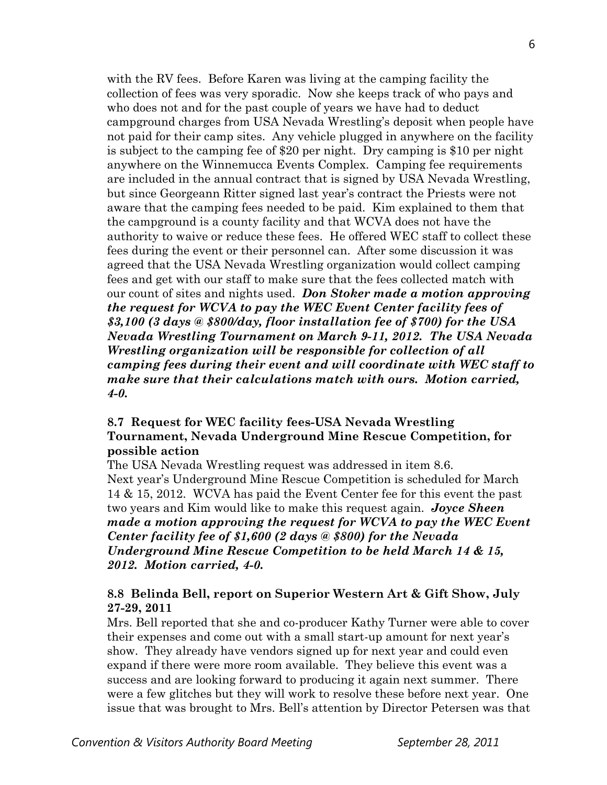with the RV fees. Before Karen was living at the camping facility the collection of fees was very sporadic. Now she keeps track of who pays and who does not and for the past couple of years we have had to deduct campground charges from USA Nevada Wrestling's deposit when people have not paid for their camp sites. Any vehicle plugged in anywhere on the facility is subject to the camping fee of \$20 per night. Dry camping is \$10 per night anywhere on the Winnemucca Events Complex. Camping fee requirements are included in the annual contract that is signed by USA Nevada Wrestling, but since Georgeann Ritter signed last year's contract the Priests were not aware that the camping fees needed to be paid. Kim explained to them that the campground is a county facility and that WCVA does not have the authority to waive or reduce these fees. He offered WEC staff to collect these fees during the event or their personnel can. After some discussion it was agreed that the USA Nevada Wrestling organization would collect camping fees and get with our staff to make sure that the fees collected match with our count of sites and nights used. *Don Stoker made a motion approving the request for WCVA to pay the WEC Event Center facility fees of \$3,100 (3 days @ \$800/day, floor installation fee of \$700) for the USA Nevada Wrestling Tournament on March 9-11, 2012. The USA Nevada Wrestling organization will be responsible for collection of all camping fees during their event and will coordinate with WEC staff to make sure that their calculations match with ours. Motion carried, 4-0.* 

# **8.7 Request for WEC facility fees-USA Nevada Wrestling Tournament, Nevada Underground Mine Rescue Competition, for possible action**

The USA Nevada Wrestling request was addressed in item 8.6. Next year's Underground Mine Rescue Competition is scheduled for March 14 & 15, 2012. WCVA has paid the Event Center fee for this event the past two years and Kim would like to make this request again. *Joyce Sheen made a motion approving the request for WCVA to pay the WEC Event Center facility fee of \$1,600 (2 days @ \$800) for the Nevada Underground Mine Rescue Competition to be held March 14 & 15, 2012. Motion carried, 4-0.* 

# **8.8 Belinda Bell, report on Superior Western Art & Gift Show, July 27-29, 2011**

Mrs. Bell reported that she and co-producer Kathy Turner were able to cover their expenses and come out with a small start-up amount for next year's show. They already have vendors signed up for next year and could even expand if there were more room available. They believe this event was a success and are looking forward to producing it again next summer. There were a few glitches but they will work to resolve these before next year. One issue that was brought to Mrs. Bell's attention by Director Petersen was that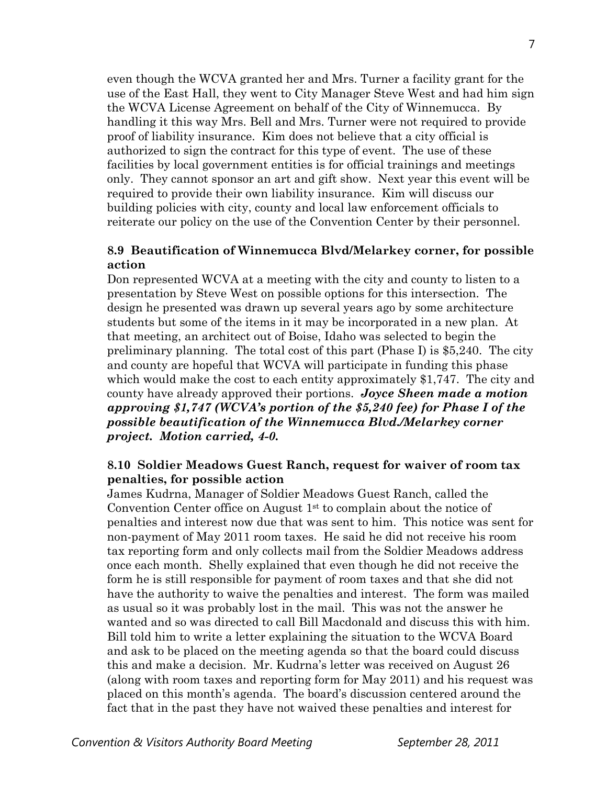even though the WCVA granted her and Mrs. Turner a facility grant for the use of the East Hall, they went to City Manager Steve West and had him sign the WCVA License Agreement on behalf of the City of Winnemucca. By handling it this way Mrs. Bell and Mrs. Turner were not required to provide proof of liability insurance. Kim does not believe that a city official is authorized to sign the contract for this type of event. The use of these facilities by local government entities is for official trainings and meetings only. They cannot sponsor an art and gift show. Next year this event will be required to provide their own liability insurance. Kim will discuss our building policies with city, county and local law enforcement officials to reiterate our policy on the use of the Convention Center by their personnel.

## **8.9 Beautification of Winnemucca Blvd/Melarkey corner, for possible action**

Don represented WCVA at a meeting with the city and county to listen to a presentation by Steve West on possible options for this intersection. The design he presented was drawn up several years ago by some architecture students but some of the items in it may be incorporated in a new plan. At that meeting, an architect out of Boise, Idaho was selected to begin the preliminary planning. The total cost of this part (Phase I) is \$5,240. The city and county are hopeful that WCVA will participate in funding this phase which would make the cost to each entity approximately \$1,747. The city and county have already approved their portions. *Joyce Sheen made a motion approving \$1,747 (WCVA's portion of the \$5,240 fee) for Phase I of the possible beautification of the Winnemucca Blvd./Melarkey corner project. Motion carried, 4-0.* 

## **8.10 Soldier Meadows Guest Ranch, request for waiver of room tax penalties, for possible action**

James Kudrna, Manager of Soldier Meadows Guest Ranch, called the Convention Center office on August  $1<sup>st</sup>$  to complain about the notice of penalties and interest now due that was sent to him. This notice was sent for non-payment of May 2011 room taxes. He said he did not receive his room tax reporting form and only collects mail from the Soldier Meadows address once each month. Shelly explained that even though he did not receive the form he is still responsible for payment of room taxes and that she did not have the authority to waive the penalties and interest. The form was mailed as usual so it was probably lost in the mail. This was not the answer he wanted and so was directed to call Bill Macdonald and discuss this with him. Bill told him to write a letter explaining the situation to the WCVA Board and ask to be placed on the meeting agenda so that the board could discuss this and make a decision. Mr. Kudrna's letter was received on August 26 (along with room taxes and reporting form for May 2011) and his request was placed on this month's agenda. The board's discussion centered around the fact that in the past they have not waived these penalties and interest for

7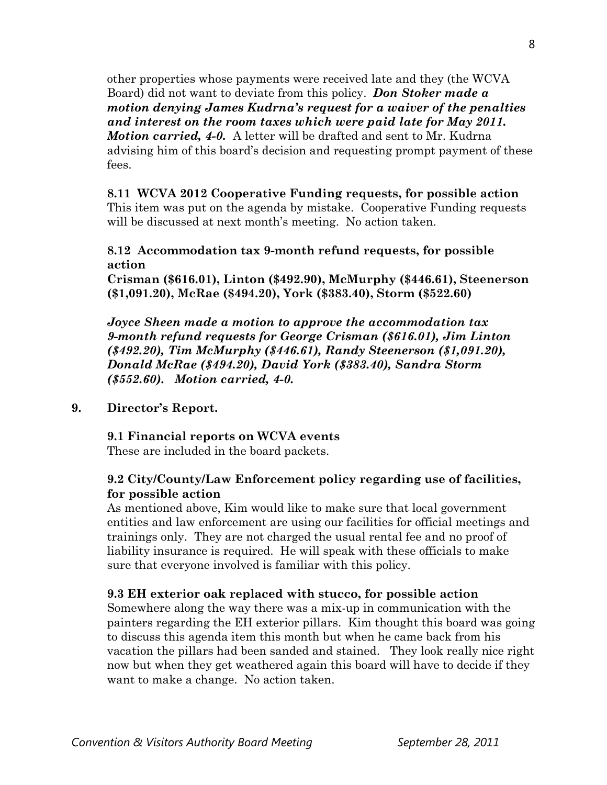other properties whose payments were received late and they (the WCVA Board) did not want to deviate from this policy. *Don Stoker made a motion denying James Kudrna's request for a waiver of the penalties and interest on the room taxes which were paid late for May 2011. Motion carried, 4-0.* A letter will be drafted and sent to Mr. Kudrna advising him of this board's decision and requesting prompt payment of these fees.

**8.11 WCVA 2012 Cooperative Funding requests, for possible action**  This item was put on the agenda by mistake. Cooperative Funding requests will be discussed at next month's meeting. No action taken.

## **8.12 Accommodation tax 9-month refund requests, for possible action**

**Crisman (\$616.01), Linton (\$492.90), McMurphy (\$446.61), Steenerson (\$1,091.20), McRae (\$494.20), York (\$383.40), Storm (\$522.60)** 

*Joyce Sheen made a motion to approve the accommodation tax 9-month refund requests for George Crisman (\$616.01), Jim Linton (\$492.20), Tim McMurphy (\$446.61), Randy Steenerson (\$1,091.20), Donald McRae (\$494.20), David York (\$383.40), Sandra Storm (\$552.60). Motion carried, 4-0.*

#### **9. Director's Report.**

#### **9.1 Financial reports on WCVA events**

These are included in the board packets.

# **9.2 City/County/Law Enforcement policy regarding use of facilities, for possible action**

As mentioned above, Kim would like to make sure that local government entities and law enforcement are using our facilities for official meetings and trainings only. They are not charged the usual rental fee and no proof of liability insurance is required. He will speak with these officials to make sure that everyone involved is familiar with this policy.

## **9.3 EH exterior oak replaced with stucco, for possible action**

Somewhere along the way there was a mix-up in communication with the painters regarding the EH exterior pillars. Kim thought this board was going to discuss this agenda item this month but when he came back from his vacation the pillars had been sanded and stained. They look really nice right now but when they get weathered again this board will have to decide if they want to make a change. No action taken.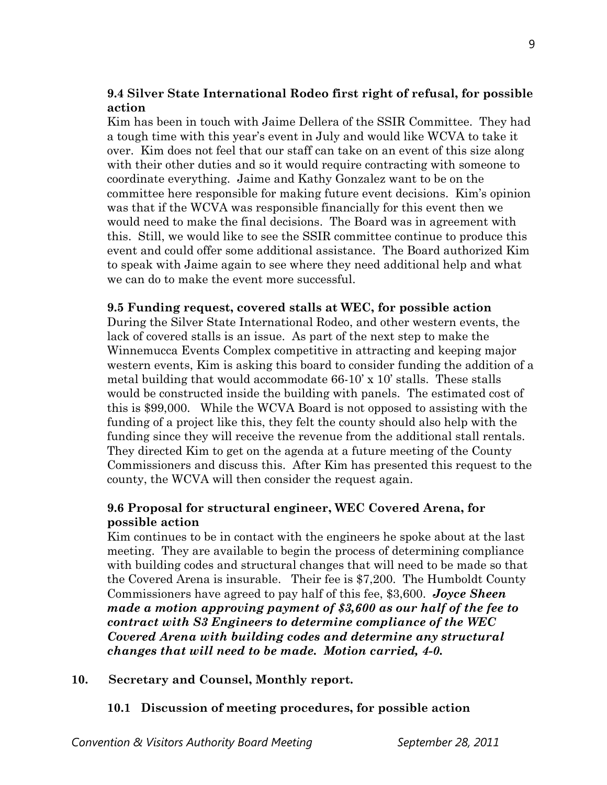# **9.4 Silver State International Rodeo first right of refusal, for possible action**

Kim has been in touch with Jaime Dellera of the SSIR Committee. They had a tough time with this year's event in July and would like WCVA to take it over. Kim does not feel that our staff can take on an event of this size along with their other duties and so it would require contracting with someone to coordinate everything. Jaime and Kathy Gonzalez want to be on the committee here responsible for making future event decisions. Kim's opinion was that if the WCVA was responsible financially for this event then we would need to make the final decisions. The Board was in agreement with this. Still, we would like to see the SSIR committee continue to produce this event and could offer some additional assistance. The Board authorized Kim to speak with Jaime again to see where they need additional help and what we can do to make the event more successful.

## **9.5 Funding request, covered stalls at WEC, for possible action**

During the Silver State International Rodeo, and other western events, the lack of covered stalls is an issue. As part of the next step to make the Winnemucca Events Complex competitive in attracting and keeping major western events, Kim is asking this board to consider funding the addition of a metal building that would accommodate 66-10' x 10' stalls. These stalls would be constructed inside the building with panels. The estimated cost of this is \$99,000. While the WCVA Board is not opposed to assisting with the funding of a project like this, they felt the county should also help with the funding since they will receive the revenue from the additional stall rentals. They directed Kim to get on the agenda at a future meeting of the County Commissioners and discuss this. After Kim has presented this request to the county, the WCVA will then consider the request again.

# **9.6 Proposal for structural engineer, WEC Covered Arena, for possible action**

Kim continues to be in contact with the engineers he spoke about at the last meeting. They are available to begin the process of determining compliance with building codes and structural changes that will need to be made so that the Covered Arena is insurable. Their fee is \$7,200. The Humboldt County Commissioners have agreed to pay half of this fee, \$3,600. *Joyce Sheen made a motion approving payment of \$3,600 as our half of the fee to contract with S3 Engineers to determine compliance of the WEC Covered Arena with building codes and determine any structural changes that will need to be made. Motion carried, 4-0.* 

## **10. Secretary and Counsel, Monthly report.**

# **10.1 Discussion of meeting procedures, for possible action**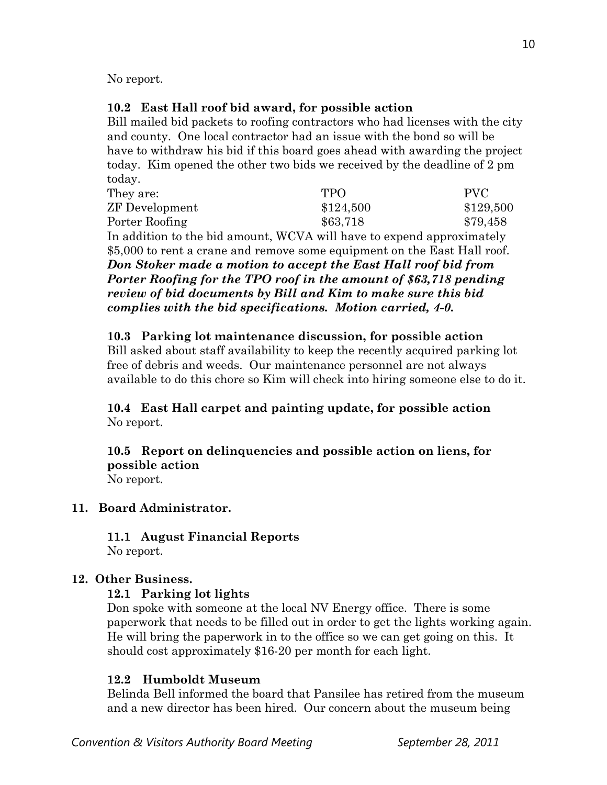No report.

# **10.2 East Hall roof bid award, for possible action**

Bill mailed bid packets to roofing contractors who had licenses with the city and county. One local contractor had an issue with the bond so will be have to withdraw his bid if this board goes ahead with awarding the project today. Kim opened the other two bids we received by the deadline of 2 pm today.

| They are:                                                                | <b>TPO</b> | <b>PVC</b>                                                                                                                                                                                                                                                                                                                                  |  |  |
|--------------------------------------------------------------------------|------------|---------------------------------------------------------------------------------------------------------------------------------------------------------------------------------------------------------------------------------------------------------------------------------------------------------------------------------------------|--|--|
| <b>ZF</b> Development                                                    | \$124,500  | \$129,500                                                                                                                                                                                                                                                                                                                                   |  |  |
| Porter Roofing                                                           | \$63,718   | \$79,458                                                                                                                                                                                                                                                                                                                                    |  |  |
|                                                                          |            |                                                                                                                                                                                                                                                                                                                                             |  |  |
| \$5,000 to rent a crane and remove some equipment on the East Hall roof. |            |                                                                                                                                                                                                                                                                                                                                             |  |  |
|                                                                          |            |                                                                                                                                                                                                                                                                                                                                             |  |  |
|                                                                          |            |                                                                                                                                                                                                                                                                                                                                             |  |  |
|                                                                          |            | In addition to the bid amount, WCVA will have to expend approximately<br>Don Stoker made a motion to accept the East Hall roof bid from<br>Porter Roofing for the TPO roof in the amount of \$63,718 pending<br>review of bid documents by Bill and Kim to make sure this bid<br>complies with the bid specifications. Motion carried, 4-0. |  |  |

 **10.3 Parking lot maintenance discussion, for possible action**  Bill asked about staff availability to keep the recently acquired parking lot free of debris and weeds. Our maintenance personnel are not always available to do this chore so Kim will check into hiring someone else to do it.

# **10.4 East Hall carpet and painting update, for possible action** No report.

**10.5 Report on delinquencies and possible action on liens, for possible action**  No report.

# **11. Board Administrator.**

**11.1 August Financial Reports**  No report.

# **12. Other Business.**

## **12.1 Parking lot lights**

Don spoke with someone at the local NV Energy office. There is some paperwork that needs to be filled out in order to get the lights working again. He will bring the paperwork in to the office so we can get going on this. It should cost approximately \$16-20 per month for each light.

# **12.2 Humboldt Museum**

Belinda Bell informed the board that Pansilee has retired from the museum and a new director has been hired. Our concern about the museum being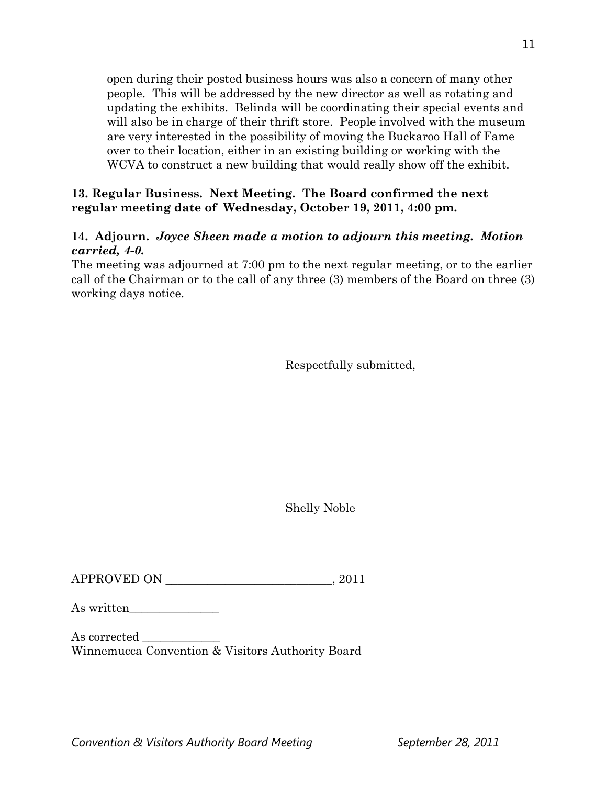open during their posted business hours was also a concern of many other people. This will be addressed by the new director as well as rotating and updating the exhibits. Belinda will be coordinating their special events and will also be in charge of their thrift store. People involved with the museum are very interested in the possibility of moving the Buckaroo Hall of Fame over to their location, either in an existing building or working with the WCVA to construct a new building that would really show off the exhibit.

# **13. Regular Business. Next Meeting. The Board confirmed the next regular meeting date of Wednesday, October 19, 2011, 4:00 pm.**

# **14. Adjourn.** *Joyce Sheen made a motion to adjourn this meeting. Motion carried, 4-0.*

The meeting was adjourned at 7:00 pm to the next regular meeting, or to the earlier call of the Chairman or to the call of any three (3) members of the Board on three (3) working days notice.

Respectfully submitted,

Shelly Noble

APPROVED ON  $, 2011$ 

As written

As corrected Winnemucca Convention & Visitors Authority Board

**Convention & Visitors Authority Board Meeting The September 28, 2011**